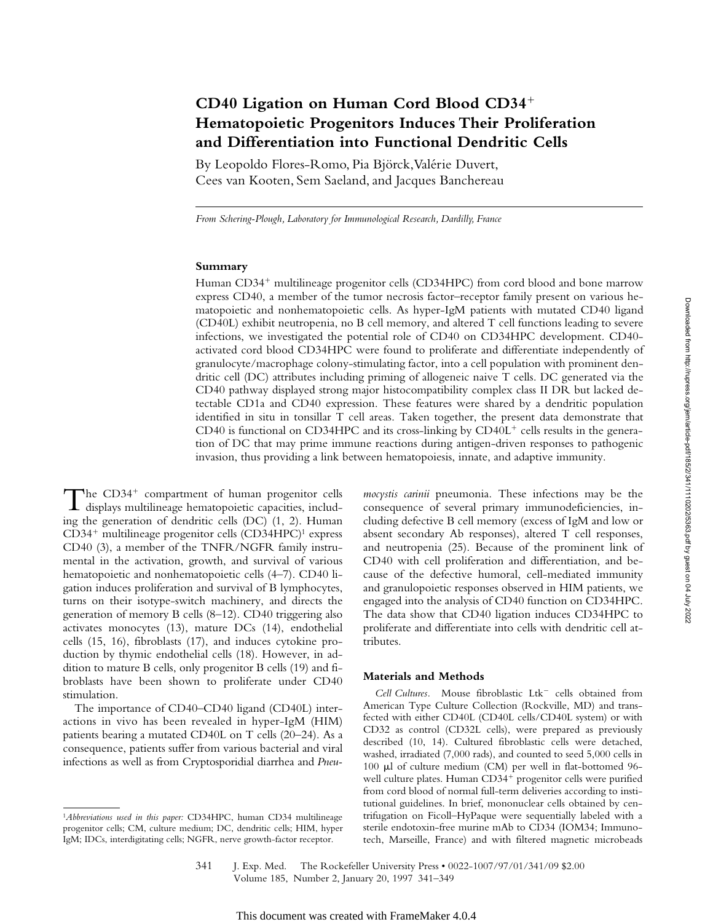# CD40 Ligation on Human Cord Blood CD34<sup>+</sup> **Hematopoietic Progenitors Induces Their Proliferation and Differentiation into Functional Dendritic Cells**

By Leopoldo Flores-Romo, Pia Björck, Valérie Duvert, Cees van Kooten, Sem Saeland, and Jacques Banchereau

*From Schering-Plough, Laboratory for Immunological Research, Dardilly, France*

## **Summary**

Human CD34<sup>+</sup> multilineage progenitor cells (CD34HPC) from cord blood and bone marrow express CD40, a member of the tumor necrosis factor–receptor family present on various hematopoietic and nonhematopoietic cells. As hyper-IgM patients with mutated CD40 ligand (CD40L) exhibit neutropenia, no B cell memory, and altered T cell functions leading to severe infections, we investigated the potential role of CD40 on CD34HPC development. CD40 activated cord blood CD34HPC were found to proliferate and differentiate independently of granulocyte/macrophage colony-stimulating factor, into a cell population with prominent dendritic cell (DC) attributes including priming of allogeneic naive T cells. DC generated via the CD40 pathway displayed strong major histocompatibility complex class II DR but lacked detectable CD1a and CD40 expression. These features were shared by a dendritic population identified in situ in tonsillar T cell areas. Taken together, the present data demonstrate that CD40 is functional on CD34HPC and its cross-linking by  $CD40L<sup>+</sup>$  cells results in the generation of DC that may prime immune reactions during antigen-driven responses to pathogenic invasion, thus providing a link between hematopoiesis, innate, and adaptive immunity.

The CD34<sup>+</sup> compartment of human progenitor cells<br>displays multilineage hematopoietic capacities, including the generation of dendritic cells (DC) (1, 2). Human  $CD34<sup>+</sup>$  multilineage progenitor cells  $(CD34HPC)<sup>1</sup>$  express CD40 (3), a member of the TNFR/NGFR family instrumental in the activation, growth, and survival of various hematopoietic and nonhematopoietic cells (4–7). CD40 ligation induces proliferation and survival of B lymphocytes, turns on their isotype-switch machinery, and directs the generation of memory B cells (8–12). CD40 triggering also activates monocytes (13), mature DCs (14), endothelial cells (15, 16), fibroblasts (17), and induces cytokine production by thymic endothelial cells (18). However, in addition to mature B cells, only progenitor B cells (19) and fibroblasts have been shown to proliferate under CD40 stimulation.

The importance of CD40–CD40 ligand (CD40L) interactions in vivo has been revealed in hyper-IgM (HIM) patients bearing a mutated CD40L on T cells (20–24). As a consequence, patients suffer from various bacterial and viral infections as well as from Cryptosporidial diarrhea and *Pneu-*

*mocystis carinii* pneumonia. These infections may be the consequence of several primary immunodeficiencies, including defective B cell memory (excess of IgM and low or absent secondary Ab responses), altered T cell responses, and neutropenia (25). Because of the prominent link of CD40 with cell proliferation and differentiation, and because of the defective humoral, cell-mediated immunity and granulopoietic responses observed in HIM patients, we engaged into the analysis of CD40 function on CD34HPC. The data show that CD40 ligation induces CD34HPC to proliferate and differentiate into cells with dendritic cell attributes.

#### **Materials and Methods**

Cell Cultures. Mouse fibroblastic Ltk<sup>-</sup> cells obtained from American Type Culture Collection (Rockville, MD) and transfected with either CD40L (CD40L cells/CD40L system) or with CD32 as control (CD32L cells), were prepared as previously described (10, 14). Cultured fibroblastic cells were detached, washed, irradiated (7,000 rads), and counted to seed 5,000 cells in 100  $\mu$ l of culture medium (CM) per well in flat-bottomed 96well culture plates. Human CD34<sup>+</sup> progenitor cells were purified from cord blood of normal full-term deliveries according to institutional guidelines. In brief, mononuclear cells obtained by centrifugation on Ficoll–HyPaque were sequentially labeled with a sterile endotoxin-free murine mAb to CD34 (IOM34; Immunotech, Marseille, France) and with filtered magnetic microbeads

341 J. Exp. Med. © The Rockefeller University Press • 0022-1007/97/01/341/09 \$2.00 Volume 185, Number 2, January 20, 1997 341–349

<sup>1</sup>*Abbreviations used in this paper:* CD34HPC, human CD34 multilineage progenitor cells; CM, culture medium; DC, dendritic cells; HIM, hyper IgM; IDCs, interdigitating cells; NGFR, nerve growth-factor receptor.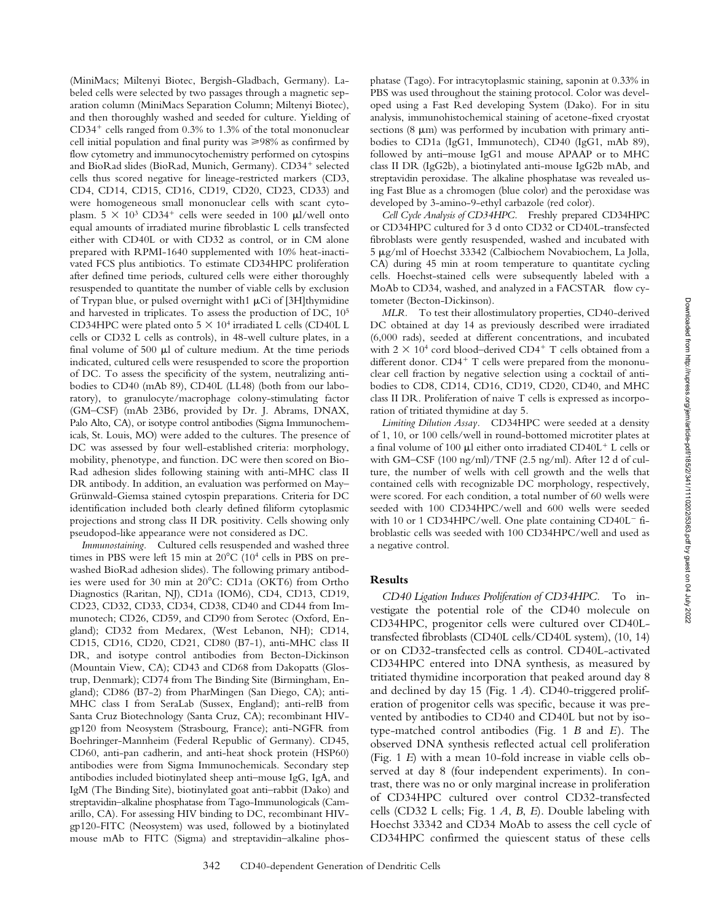(MiniMacs; Miltenyi Biotec, Bergish-Gladbach, Germany). Labeled cells were selected by two passages through a magnetic separation column (MiniMacs Separation Column; Miltenyi Biotec), and then thoroughly washed and seeded for culture. Yielding of  $CD34<sup>+</sup>$  cells ranged from 0.3% to 1.3% of the total mononuclear cell initial population and final purity was  $\geq 98\%$  as confirmed by flow cytometry and immunocytochemistry performed on cytospins and BioRad slides (BioRad, Munich, Germany). CD34<sup>+</sup> selected cells thus scored negative for lineage-restricted markers (CD3, CD4, CD14, CD15, CD16, CD19, CD20, CD23, CD33) and were homogeneous small mononuclear cells with scant cytoplasm.  $5 \times 10^3$  CD34<sup>+</sup> cells were seeded in 100 µl/well onto equal amounts of irradiated murine fibroblastic L cells transfected either with CD40L or with CD32 as control, or in CM alone prepared with RPMI-1640 supplemented with 10% heat-inactivated FCS plus antibiotics. To estimate CD34HPC proliferation after defined time periods, cultured cells were either thoroughly resuspended to quantitate the number of viable cells by exclusion of Trypan blue, or pulsed overnight with1  $\mu$ Ci of [3H]thymidine and harvested in triplicates. To assess the production of DC, 105 CD34HPC were plated onto  $5 \times 10^4$  irradiated L cells (CD40L L cells or CD32 L cells as controls), in 48-well culture plates, in a final volume of 500  $\mu$ l of culture medium. At the time periods indicated, cultured cells were resuspended to score the proportion of DC. To assess the specificity of the system, neutralizing antibodies to CD40 (mAb 89), CD40L (LL48) (both from our laboratory), to granulocyte/macrophage colony-stimulating factor (GM–CSF) (mAb 23B6, provided by Dr. J. Abrams, DNAX, Palo Alto, CA), or isotype control antibodies (Sigma Immunochemicals, St. Louis, MO) were added to the cultures. The presence of DC was assessed by four well-established criteria: morphology, mobility, phenotype, and function. DC were then scored on Bio-Rad adhesion slides following staining with anti-MHC class II DR antibody. In addition, an evaluation was performed on May– Grünwald-Giemsa stained cytospin preparations. Criteria for DC identification included both clearly defined filiform cytoplasmic projections and strong class II DR positivity. Cells showing only pseudopod-like appearance were not considered as DC.

*Immunostaining.* Cultured cells resuspended and washed three times in PBS were left 15 min at  $20^{\circ}$ C (10<sup>4</sup> cells in PBS on prewashed BioRad adhesion slides). The following primary antibodies were used for 30 min at 20°C: CD1a (OKT6) from Ortho Diagnostics (Raritan, NJ), CD1a (IOM6), CD4, CD13, CD19, CD23, CD32, CD33, CD34, CD38, CD40 and CD44 from Immunotech; CD26, CD59, and CD90 from Serotec (Oxford, England); CD32 from Medarex, (West Lebanon, NH); CD14, CD15, CD16, CD20, CD21, CD80 (B7-1), anti-MHC class II DR, and isotype control antibodies from Becton-Dickinson (Mountain View, CA); CD43 and CD68 from Dakopatts (Glostrup, Denmark); CD74 from The Binding Site (Birmingham, England); CD86 (B7-2) from PharMingen (San Diego, CA); anti-MHC class I from SeraLab (Sussex, England); anti-relB from Santa Cruz Biotechnology (Santa Cruz, CA); recombinant HIVgp120 from Neosystem (Strasbourg, France); anti-NGFR from Boehringer-Mannheim (Federal Republic of Germany). CD45, CD60, anti-pan cadherin, and anti-heat shock protein (HSP60) antibodies were from Sigma Immunochemicals. Secondary step antibodies included biotinylated sheep anti–mouse IgG, IgA, and IgM (The Binding Site), biotinylated goat anti–rabbit (Dako) and streptavidin–alkaline phosphatase from Tago-Immunologicals (Camarillo, CA). For assessing HIV binding to DC, recombinant HIVgp120-FITC (Neosystem) was used, followed by a biotinylated mouse mAb to FITC (Sigma) and streptavidin–alkaline phos-

phatase (Tago). For intracytoplasmic staining, saponin at 0.33% in PBS was used throughout the staining protocol. Color was developed using a Fast Red developing System (Dako). For in situ analysis, immunohistochemical staining of acetone-fixed cryostat sections  $(8 \mu m)$  was performed by incubation with primary antibodies to CD1a (IgG1, Immunotech), CD40 (IgG1, mAb 89), followed by anti–mouse IgG1 and mouse APAAP or to MHC class II DR (IgG2b), a biotinylated anti-mouse IgG2b mAb, and streptavidin peroxidase. The alkaline phosphatase was revealed using Fast Blue as a chromogen (blue color) and the peroxidase was developed by 3-amino-9-ethyl carbazole (red color).

*Cell Cycle Analysis of CD34HPC.* Freshly prepared CD34HPC or CD34HPC cultured for 3 d onto CD32 or CD40L-transfected fibroblasts were gently resuspended, washed and incubated with 5 mg/ml of Hoechst 33342 (Calbiochem Novabiochem, La Jolla, CA) during 45 min at room temperature to quantitate cycling cells. Hoechst-stained cells were subsequently labeled with a MoAb to CD34, washed, and analyzed in a FACSTAR® flow cytometer (Becton-Dickinson).

*MLR.* To test their allostimulatory properties, CD40-derived DC obtained at day 14 as previously described were irradiated (6,000 rads), seeded at different concentrations, and incubated with  $2 \times 10^4$  cord blood–derived CD4<sup>+</sup> T cells obtained from a different donor.  $CD4^+$  T cells were prepared from the mononuclear cell fraction by negative selection using a cocktail of antibodies to CD8, CD14, CD16, CD19, CD20, CD40, and MHC class II DR. Proliferation of naive T cells is expressed as incorporation of tritiated thymidine at day 5.

*Limiting Dilution Assay.* CD34HPC were seeded at a density of 1, 10, or 100 cells/well in round-bottomed microtiter plates at a final volume of 100  $\mu$ l either onto irradiated CD40L<sup>+</sup> L cells or with GM–CSF (100 ng/ml)/TNF (2.5 ng/ml). After 12 d of culture, the number of wells with cell growth and the wells that contained cells with recognizable DC morphology, respectively, were scored. For each condition, a total number of 60 wells were seeded with 100 CD34HPC/well and 600 wells were seeded with 10 or 1 CD34HPC/well. One plate containing  $CD40L^-$  fibroblastic cells was seeded with 100 CD34HPC/well and used as a negative control.

# **Results**

*CD40 Ligation Induces Proliferation of CD34HPC.* To investigate the potential role of the CD40 molecule on CD34HPC, progenitor cells were cultured over CD40Ltransfected fibroblasts (CD40L cells/CD40L system), (10, 14) or on CD32-transfected cells as control. CD40L-activated CD34HPC entered into DNA synthesis, as measured by tritiated thymidine incorporation that peaked around day 8 and declined by day 15 (Fig. 1 *A*). CD40-triggered proliferation of progenitor cells was specific, because it was prevented by antibodies to CD40 and CD40L but not by isotype-matched control antibodies (Fig. 1 *B* and *E*). The observed DNA synthesis reflected actual cell proliferation (Fig. 1 *E*) with a mean 10-fold increase in viable cells observed at day 8 (four independent experiments). In contrast, there was no or only marginal increase in proliferation of CD34HPC cultured over control CD32-transfected cells (CD32 L cells; Fig. 1 *A*, *B*, *E*). Double labeling with Hoechst 33342 and CD34 MoAb to assess the cell cycle of CD34HPC confirmed the quiescent status of these cells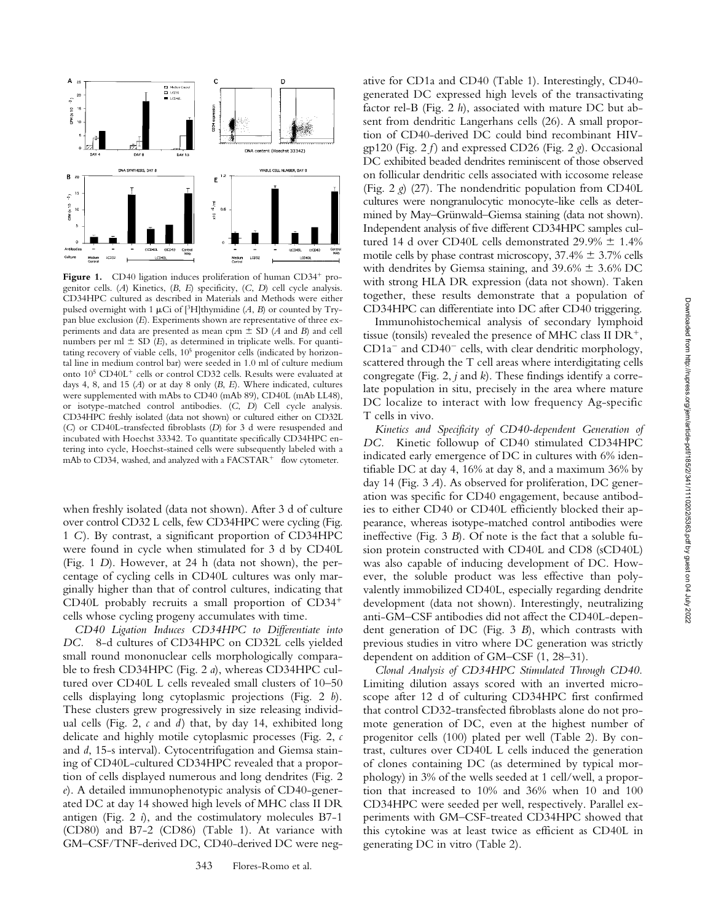

Figure 1. CD40 ligation induces proliferation of human CD34<sup>+</sup> progenitor cells. (*A*) Kinetics, (*B*, *E*) specificity, (*C*, *D*) cell cycle analysis. CD34HPC cultured as described in Materials and Methods were either pulsed overnight with 1  $\mu$ Ci of [<sup>3</sup>H]thymidine (*A*, *B*) or counted by Trypan blue exclusion (*E*). Experiments shown are representative of three experiments and data are presented as mean cpm  $\pm$  SD (*A* and *B*) and cell numbers per ml  $\pm$  SD (*E*), as determined in triplicate wells. For quantitating recovery of viable cells, 10<sup>5</sup> progenitor cells (indicated by horizontal line in medium control bar) were seeded in 1.0 ml of culture medium onto 10<sup>5</sup> CD40L<sup>+</sup> cells or control CD32 cells. Results were evaluated at days 4, 8, and 15 (*A*) or at day 8 only (*B*, *E*). Where indicated, cultures were supplemented with mAbs to CD40 (mAb 89), CD40L (mAb LL48), or isotype-matched control antibodies. (*C*, *D*) Cell cycle analysis. CD34HPC freshly isolated (data not shown) or cultured either on CD32L (*C*) or CD40L-transfected fibroblasts (*D*) for 3 d were resuspended and incubated with Hoechst 33342. To quantitate specifically CD34HPC entering into cycle, Hoechst-stained cells were subsequently labeled with a mAb to CD34, washed, and analyzed with a FACSTAR<sup>+®</sup> flow cytometer.

when freshly isolated (data not shown). After 3 d of culture over control CD32 L cells, few CD34HPC were cycling (Fig. 1 *C*). By contrast, a significant proportion of CD34HPC were found in cycle when stimulated for 3 d by CD40L (Fig. 1 *D*). However, at 24 h (data not shown), the percentage of cycling cells in CD40L cultures was only marginally higher than that of control cultures, indicating that CD40L probably recruits a small proportion of  $CD34^+$ cells whose cycling progeny accumulates with time.

*CD40 Ligation Induces CD34HPC to Differentiate into DC.* 8-d cultures of CD34HPC on CD32L cells yielded small round mononuclear cells morphologically comparable to fresh CD34HPC (Fig. 2 *a*), whereas CD34HPC cultured over CD40L L cells revealed small clusters of 10–50 cells displaying long cytoplasmic projections (Fig. 2 *b*). These clusters grew progressively in size releasing individual cells (Fig. 2, *c* and *d*) that, by day 14, exhibited long delicate and highly motile cytoplasmic processes (Fig. 2, *c* and *d*, 15-s interval). Cytocentrifugation and Giemsa staining of CD40L-cultured CD34HPC revealed that a proportion of cells displayed numerous and long dendrites (Fig. 2 *e*). A detailed immunophenotypic analysis of CD40-generated DC at day 14 showed high levels of MHC class II DR antigen (Fig. 2 *i*), and the costimulatory molecules B7-1 (CD80) and B7-2 (CD86) (Table 1). At variance with GM–CSF/TNF-derived DC, CD40-derived DC were negative for CD1a and CD40 (Table 1). Interestingly, CD40 generated DC expressed high levels of the transactivating factor rel-B (Fig. 2 *h*), associated with mature DC but absent from dendritic Langerhans cells (26). A small proportion of CD40-derived DC could bind recombinant HIVgp120 (Fig. 2 *f* ) and expressed CD26 (Fig. 2 *g*). Occasional DC exhibited beaded dendrites reminiscent of those observed on follicular dendritic cells associated with iccosome release (Fig. 2 *g*) (27). The nondendritic population from CD40L cultures were nongranulocytic monocyte-like cells as determined by May–Grünwald–Giemsa staining (data not shown). Independent analysis of five different CD34HPC samples cultured 14 d over CD40L cells demonstrated 29.9%  $\pm$  1.4% motile cells by phase contrast microscopy,  $37.4\% \pm 3.7\%$  cells with dendrites by Giemsa staining, and  $39.6\% \pm 3.6\%$  DC with strong HLA DR expression (data not shown). Taken together, these results demonstrate that a population of CD34HPC can differentiate into DC after CD40 triggering.

Immunohistochemical analysis of secondary lymphoid tissue (tonsils) revealed the presence of MHC class II  $DR^+,$  $CD1a^-$  and  $CD40^-$  cells, with clear dendritic morphology, scattered through the T cell areas where interdigitating cells congregate (Fig. 2, *j* and *k*). These findings identify a correlate population in situ, precisely in the area where mature DC localize to interact with low frequency Ag-specific T cells in vivo.

*Kinetics and Specificity of CD40-dependent Generation of DC.* Kinetic followup of CD40 stimulated CD34HPC indicated early emergence of DC in cultures with 6% identifiable DC at day 4, 16% at day 8, and a maximum 36% by day 14 (Fig. 3 *A*). As observed for proliferation, DC generation was specific for CD40 engagement, because antibodies to either CD40 or CD40L efficiently blocked their appearance, whereas isotype-matched control antibodies were ineffective (Fig. 3 *B*). Of note is the fact that a soluble fusion protein constructed with CD40L and CD8 (sCD40L) was also capable of inducing development of DC. However, the soluble product was less effective than polyvalently immobilized CD40L, especially regarding dendrite development (data not shown). Interestingly, neutralizing anti-GM–CSF antibodies did not affect the CD40L-dependent generation of DC (Fig. 3 *B*), which contrasts with previous studies in vitro where DC generation was strictly dependent on addition of GM–CSF (1, 28–31).

*Clonal Analysis of CD34HPC Stimulated Through CD40.* Limiting dilution assays scored with an inverted microscope after 12 d of culturing CD34HPC first confirmed that control CD32-transfected fibroblasts alone do not promote generation of DC, even at the highest number of progenitor cells (100) plated per well (Table 2). By contrast, cultures over CD40L L cells induced the generation of clones containing DC (as determined by typical morphology) in 3% of the wells seeded at 1 cell/well, a proportion that increased to 10% and 36% when 10 and 100 CD34HPC were seeded per well, respectively. Parallel experiments with GM–CSF-treated CD34HPC showed that this cytokine was at least twice as efficient as CD40L in generating DC in vitro (Table 2).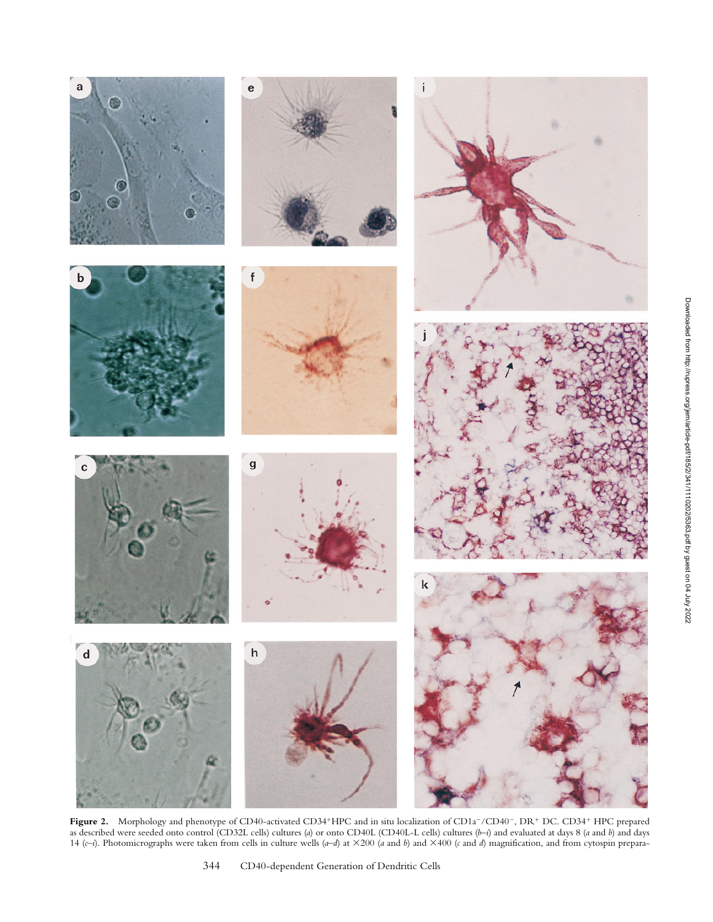

Figure 2. Morphology and phenotype of CD40-activated CD34<sup>+</sup>HPC and in situ localization of CD1a<sup>-</sup>/CD40<sup>-</sup>, DR<sup>+</sup> DC. CD34<sup>+</sup> HPC prepared as described were seeded onto control (CD32L cells) cultures (*a*) or onto CD40L (CD40L-L cells) cultures (*b–i*) and evaluated at days 8 (*a* and *b*) and days 14 (*c*–*i*). Photomicrographs were taken from cells in culture wells (*a–d*) at 3200 (*a* and *b*) and 3400 (*c* and *d*) magnification, and from cytospin prepara-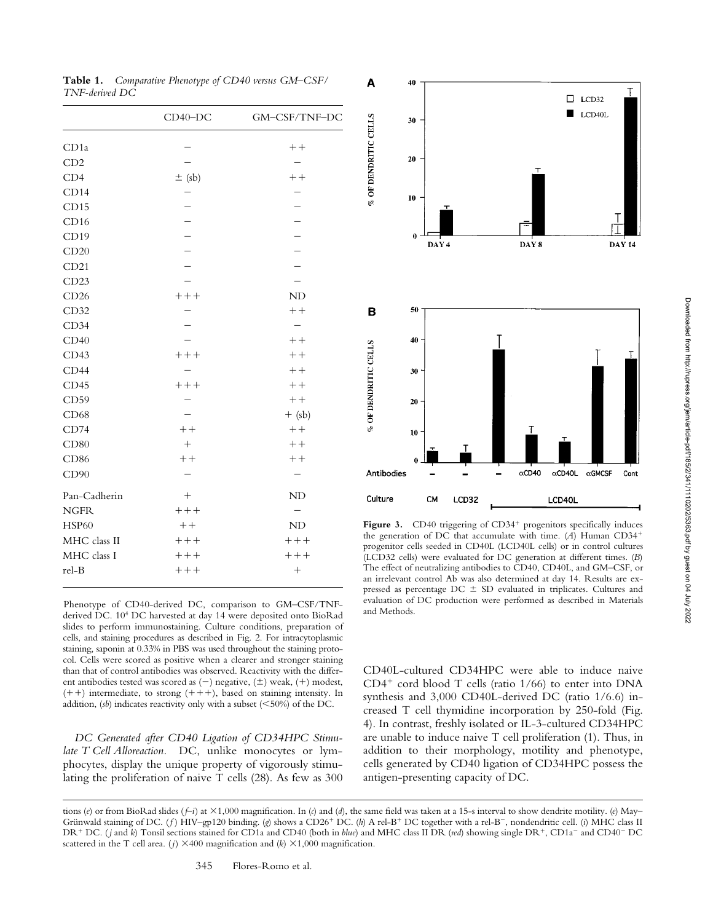**Table 1.** *Comparative Phenotype of CD40 versus GM–CSF/ TNF-derived DC*

|              | $CD40-DC$  | GM-CSF/TNF-DC |  |
|--------------|------------|---------------|--|
| CD1a         |            | $++$          |  |
| CD2          |            |               |  |
| CD4          | $\pm$ (sb) | $++$          |  |
| CD14         |            |               |  |
| CD15         |            |               |  |
| CD16         |            |               |  |
| CD19         |            |               |  |
| CD20         |            |               |  |
| CD21         |            |               |  |
| CD23         |            |               |  |
| CD26         | $++++$     | ND            |  |
| CD32         |            | $++$          |  |
| CD34         |            |               |  |
| CD40         |            | $++$          |  |
| CD43         | $++++$     | $++$          |  |
| CD44         |            | $++$          |  |
| CD45         | $++++$     | $++$          |  |
| CD59         |            | $++$          |  |
| CD68         |            | $+$ (sb)      |  |
| CD74         | $++$       | $++$          |  |
| CD80         | $^{+}$     | $++$          |  |
| CD86         | $++$       | $++$          |  |
| CD90         |            |               |  |
| Pan-Cadherin | $^{+}$     | ND            |  |
| <b>NGFR</b>  | $++++$     |               |  |
| <b>HSP60</b> | $++$       | ND            |  |
| MHC class II | $++++$     | $++++$        |  |
| MHC class I  | $++++$     | $++++$        |  |
| rel-B        | $++++$     | $^{+}$        |  |
|              |            |               |  |

Phenotype of CD40-derived DC, comparison to GM–CSF/TNFderived DC. 104 DC harvested at day 14 were deposited onto BioRad slides to perform immunostaining. Culture conditions, preparation of cells, and staining procedures as described in Fig. 2. For intracytoplasmic staining, saponin at 0.33% in PBS was used throughout the staining protocol. Cells were scored as positive when a clearer and stronger staining than that of control antibodies was observed. Reactivity with the different antibodies tested was scored as  $(-)$  negative,  $(\pm)$  weak,  $(+)$  modest,  $(+)$  intermediate, to strong  $(+)$ , based on staining intensity. In addition,  $(sb)$  indicates reactivity only with a subset  $(<50%)$  of the DC.

*DC Generated after CD40 Ligation of CD34HPC Stimulate T Cell Alloreaction.* DC, unlike monocytes or lymphocytes, display the unique property of vigorously stimulating the proliferation of naive T cells (28). As few as 300



Figure 3. CD40 triggering of CD34<sup>+</sup> progenitors specifically induces the generation of DC that accumulate with time. (A) Human CD34<sup>+</sup> progenitor cells seeded in CD40L (LCD40L cells) or in control cultures (LCD32 cells) were evaluated for DC generation at different times. (*B*) The effect of neutralizing antibodies to CD40, CD40L, and GM–CSF, or an irrelevant control Ab was also determined at day 14. Results are expressed as percentage  $DC \pm SD$  evaluated in triplicates. Cultures and evaluation of DC production were performed as described in Materials and Methods.

CD40L-cultured CD34HPC were able to induce naive  $CD4^+$  cord blood T cells (ratio 1/66) to enter into DNA synthesis and 3,000 CD40L-derived DC (ratio 1/6.6) increased T cell thymidine incorporation by 250-fold (Fig. 4). In contrast, freshly isolated or IL-3-cultured CD34HPC are unable to induce naive T cell proliferation (1). Thus, in addition to their morphology, motility and phenotype, cells generated by CD40 ligation of CD34HPC possess the antigen-presenting capacity of DC.

tions (*e*) or from BioRad slides (*f–i*) at 31,000 magnification. In (*c*) and (*d*), the same field was taken at a 15-s interval to show dendrite motility. (*e*) May– Grünwald staining of DC. (*f*) HIV-gp120 binding. (*g*) shows a CD26<sup>+</sup> DC. (*h*) A rel-B<sup>+</sup> DC together with a rel-B<sup>-</sup>, nondendritic cell. (*i*) MHC class II DR<sup>+</sup> DC. (*j* and *k*) Tonsil sections stained for CD1a and CD40 (both in *blue*) and MHC class II DR (*red*) showing single DR<sup>+</sup>, CD1a<sup>-</sup> and CD40<sup>-</sup> DC scattered in the T cell area. (*j*)  $\times$  400 magnification and (*k*)  $\times$  1,000 magnification.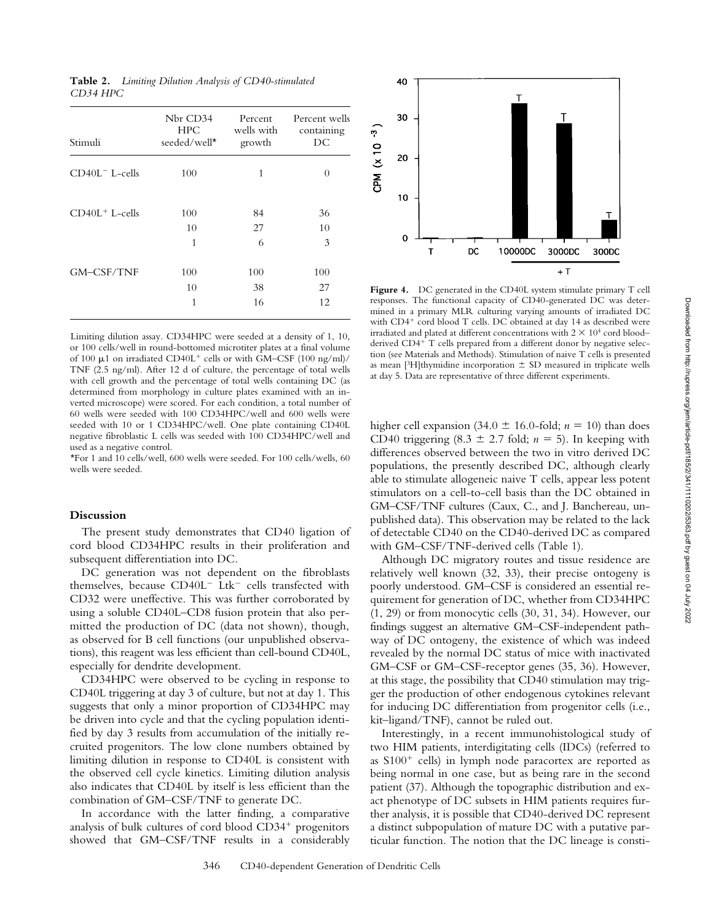| Stimuli           | Nbr CD34<br><b>HPC</b><br>seeded/well* | Percent<br>wells with<br>growth | Percent wells<br>containing<br>DC |
|-------------------|----------------------------------------|---------------------------------|-----------------------------------|
| $CD40L^-$ L-cells | 100                                    | 1                               | $\theta$                          |
| $CD40L+$ L-cells  | 100<br>10                              | 84<br>27                        | 36<br>10                          |
|                   | 1                                      | 6                               | 3                                 |
| GM-CSF/TNF        | 100                                    | 100                             | 100                               |
|                   | 10                                     | 38                              | 27                                |
|                   | 1                                      | 16                              | 12                                |

Limiting dilution assay. CD34HPC were seeded at a density of 1, 10, or 100 cells/well in round-bottomed microtiter plates at a final volume of 100  $\mu$ 1 on irradiated CD40L<sup>+</sup> cells or with GM–CSF (100 ng/ml)/ TNF (2.5 ng/ml). After 12 d of culture, the percentage of total wells with cell growth and the percentage of total wells containing DC (as determined from morphology in culture plates examined with an inverted microscope) were scored. For each condition, a total number of 60 wells were seeded with 100 CD34HPC/well and 600 wells were seeded with 10 or 1 CD34HPC/well. One plate containing CD40L negative fibroblastic L cells was seeded with 100 CD34HPC/well and used as a negative control.

\*For 1 and 10 cells/well, 600 wells were seeded. For 100 cells/wells, 60 wells were seeded.

# **Discussion**

The present study demonstrates that CD40 ligation of cord blood CD34HPC results in their proliferation and subsequent differentiation into DC.

DC generation was not dependent on the fibroblasts themselves, because  $CD40L^-$  Ltk<sup>-</sup> cells transfected with CD32 were uneffective. This was further corroborated by using a soluble CD40L–CD8 fusion protein that also permitted the production of DC (data not shown), though, as observed for B cell functions (our unpublished observations), this reagent was less efficient than cell-bound CD40L, especially for dendrite development.

CD34HPC were observed to be cycling in response to CD40L triggering at day 3 of culture, but not at day 1. This suggests that only a minor proportion of CD34HPC may be driven into cycle and that the cycling population identified by day 3 results from accumulation of the initially recruited progenitors. The low clone numbers obtained by limiting dilution in response to CD40L is consistent with the observed cell cycle kinetics. Limiting dilution analysis also indicates that CD40L by itself is less efficient than the combination of GM–CSF/TNF to generate DC.

In accordance with the latter finding, a comparative analysis of bulk cultures of cord blood  $CD34<sup>+</sup>$  progenitors showed that GM–CSF/TNF results in a considerably



Figure 4. DC generated in the CD40L system stimulate primary T cell responses. The functional capacity of CD40-generated DC was determined in a primary MLR culturing varying amounts of irradiated DC with CD4<sup>+</sup> cord blood T cells. DC obtained at day 14 as described were irradiated and plated at different concentrations with  $2 \times 10^4$  cord blood– derived CD4<sup>+</sup> T cells prepared from a different donor by negative selection (see Materials and Methods). Stimulation of naive T cells is presented as mean [3H]thymidine incorporation  $\pm$  SD measured in triplicate wells at day 5. Data are representative of three different experiments.

higher cell expansion (34.0  $\pm$  16.0-fold; *n* = 10) than does CD40 triggering  $(8.3 \pm 2.7 \text{ fold}; n = 5)$ . In keeping with differences observed between the two in vitro derived DC populations, the presently described DC, although clearly able to stimulate allogeneic naive T cells, appear less potent stimulators on a cell-to-cell basis than the DC obtained in GM–CSF/TNF cultures (Caux, C., and J. Banchereau, unpublished data). This observation may be related to the lack of detectable CD40 on the CD40-derived DC as compared with GM–CSF/TNF-derived cells (Table 1).

Although DC migratory routes and tissue residence are relatively well known (32, 33), their precise ontogeny is poorly understood. GM–CSF is considered an essential requirement for generation of DC, whether from CD34HPC (1, 29) or from monocytic cells (30, 31, 34). However, our findings suggest an alternative GM–CSF-independent pathway of DC ontogeny, the existence of which was indeed revealed by the normal DC status of mice with inactivated GM–CSF or GM–CSF-receptor genes (35, 36). However, at this stage, the possibility that CD40 stimulation may trigger the production of other endogenous cytokines relevant for inducing DC differentiation from progenitor cells (i.e., kit–ligand/TNF), cannot be ruled out.

Interestingly, in a recent immunohistological study of two HIM patients, interdigitating cells (IDCs) (referred to as  $S100<sup>+</sup>$  cells) in lymph node paracortex are reported as being normal in one case, but as being rare in the second patient (37). Although the topographic distribution and exact phenotype of DC subsets in HIM patients requires further analysis, it is possible that CD40-derived DC represent a distinct subpopulation of mature DC with a putative particular function. The notion that the DC lineage is consti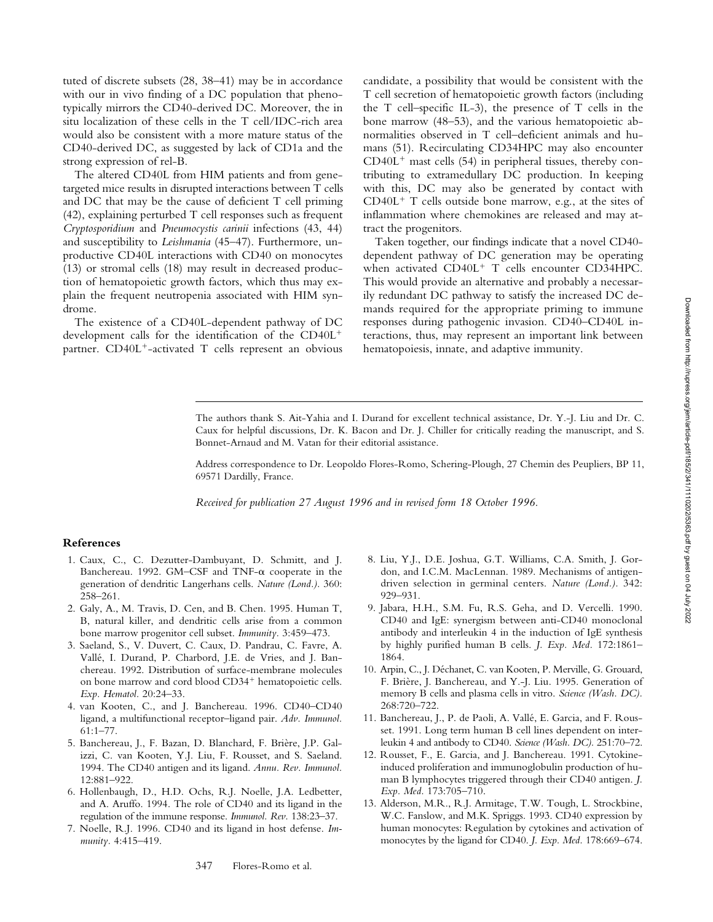tuted of discrete subsets (28, 38–41) may be in accordance with our in vivo finding of a DC population that phenotypically mirrors the CD40-derived DC. Moreover, the in situ localization of these cells in the T cell/IDC-rich area would also be consistent with a more mature status of the CD40-derived DC, as suggested by lack of CD1a and the strong expression of rel-B.

The altered CD40L from HIM patients and from genetargeted mice results in disrupted interactions between T cells and DC that may be the cause of deficient T cell priming (42), explaining perturbed T cell responses such as frequent *Cryptosporidium* and *Pneumocystis carinii* infections (43, 44) and susceptibility to *Leishmania* (45–47). Furthermore, unproductive CD40L interactions with CD40 on monocytes (13) or stromal cells (18) may result in decreased production of hematopoietic growth factors, which thus may explain the frequent neutropenia associated with HIM syndrome.

The existence of a CD40L-dependent pathway of DC development calls for the identification of the  $CD40L^{+}$ partner.  $CD40L^{+}$ -activated T cells represent an obvious candidate, a possibility that would be consistent with the T cell secretion of hematopoietic growth factors (including the T cell–specific IL-3), the presence of T cells in the bone marrow (48–53), and the various hematopoietic abnormalities observed in T cell–deficient animals and humans (51). Recirculating CD34HPC may also encounter  $CD40L<sup>+</sup>$  mast cells (54) in peripheral tissues, thereby contributing to extramedullary DC production. In keeping with this, DC may also be generated by contact with  $CD40L<sup>+</sup>$  T cells outside bone marrow, e.g., at the sites of inflammation where chemokines are released and may attract the progenitors.

Taken together, our findings indicate that a novel CD40 dependent pathway of DC generation may be operating when activated  $CD40L^{+}$  T cells encounter CD34HPC. This would provide an alternative and probably a necessarily redundant DC pathway to satisfy the increased DC demands required for the appropriate priming to immune responses during pathogenic invasion. CD40–CD40L interactions, thus, may represent an important link between hematopoiesis, innate, and adaptive immunity.

The authors thank S. Ait-Yahia and I. Durand for excellent technical assistance, Dr. Y.-J. Liu and Dr. C. Caux for helpful discussions, Dr. K. Bacon and Dr. J. Chiller for critically reading the manuscript, and S. Bonnet-Arnaud and M. Vatan for their editorial assistance.

Address correspondence to Dr. Leopoldo Flores-Romo, Schering-Plough, 27 Chemin des Peupliers, BP 11, 69571 Dardilly, France.

*Received for publication 27 August 1996 and in revised form 18 October 1996.*

## **References**

- 1. Caux, C., C. Dezutter-Dambuyant, D. Schmitt, and J. Banchereau. 1992. GM-CSF and  $TNF-\alpha$  cooperate in the generation of dendritic Langerhans cells. *Nature (Lond.).* 360: 258–261.
- 2. Galy, A., M. Travis, D. Cen, and B. Chen. 1995. Human T, B, natural killer, and dendritic cells arise from a common bone marrow progenitor cell subset. *Immunity.* 3:459–473.
- 3. Saeland, S., V. Duvert, C. Caux, D. Pandrau, C. Favre, A. Vallé, I. Durand, P. Charbord, J.E. de Vries, and J. Banchereau. 1992. Distribution of surface-membrane molecules on bone marrow and cord blood CD34<sup>+</sup> hematopoietic cells. *Exp. Hematol.* 20:24–33.
- 4. van Kooten, C., and J. Banchereau. 1996. CD40–CD40 ligand, a multifunctional receptor–ligand pair. *Adv. Immunol.* 61:1–77.
- 5. Banchereau, J., F. Bazan, D. Blanchard, F. Brière, J.P. Galizzi, C. van Kooten, Y.J. Liu, F. Rousset, and S. Saeland. 1994. The CD40 antigen and its ligand. *Annu. Rev. Immunol.* 12:881–922.
- 6. Hollenbaugh, D., H.D. Ochs, R.J. Noelle, J.A. Ledbetter, and A. Aruffo. 1994. The role of CD40 and its ligand in the regulation of the immune response. *Immunol. Rev.* 138:23–37.
- 7. Noelle, R.J. 1996. CD40 and its ligand in host defense. *Immunity.* 4:415–419.
- 8. Liu, Y.J., D.E. Joshua, G.T. Williams, C.A. Smith, J. Gordon, and I.C.M. MacLennan. 1989. Mechanisms of antigendriven selection in germinal centers. *Nature (Lond.).* 342: 929–931.
- 9. Jabara, H.H., S.M. Fu, R.S. Geha, and D. Vercelli. 1990. CD40 and IgE: synergism between anti-CD40 monoclonal antibody and interleukin 4 in the induction of IgE synthesis by highly purified human B cells. *J. Exp. Med.* 172:1861– 1864.
- 10. Arpin, C., J. Déchanet, C. van Kooten, P. Merville, G. Grouard, F. Brière, J. Banchereau, and Y.-J. Liu. 1995. Generation of memory B cells and plasma cells in vitro. *Science (Wash. DC).* 268:720–722.
- 11. Banchereau, J., P. de Paoli, A. Vallé, E. Garcia, and F. Rousset. 1991. Long term human B cell lines dependent on interleukin 4 and antibody to CD40. *Science (Wash. DC).* 251:70–72.
- 12. Rousset, F., E. Garcia, and J. Banchereau. 1991. Cytokineinduced proliferation and immunoglobulin production of human B lymphocytes triggered through their CD40 antigen. *J. Exp. Med.* 173:705–710.
- 13. Alderson, M.R., R.J. Armitage, T.W. Tough, L. Strockbine, W.C. Fanslow, and M.K. Spriggs. 1993. CD40 expression by human monocytes: Regulation by cytokines and activation of monocytes by the ligand for CD40. *J. Exp. Med.* 178:669–674.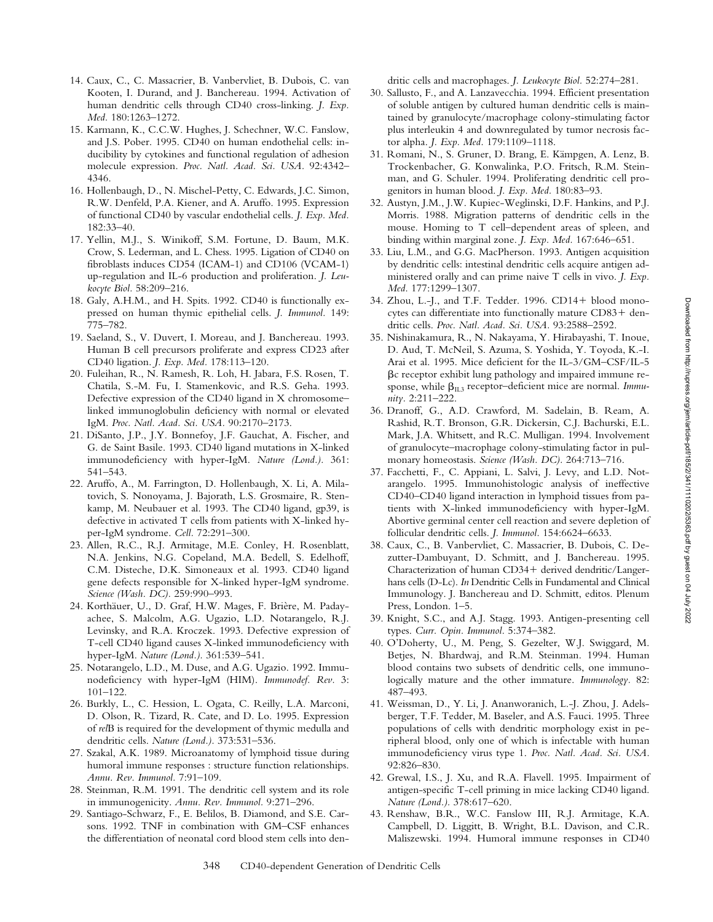- 14. Caux, C., C. Massacrier, B. Vanbervliet, B. Dubois, C. van Kooten, I. Durand, and J. Banchereau. 1994. Activation of human dendritic cells through CD40 cross-linking. *J. Exp. Med.* 180:1263–1272.
- 15. Karmann, K., C.C.W. Hughes, J. Schechner, W.C. Fanslow, and J.S. Pober. 1995. CD40 on human endothelial cells: inducibility by cytokines and functional regulation of adhesion molecule expression. *Proc. Natl. Acad. Sci. USA.* 92:4342– 4346.
- 16. Hollenbaugh, D., N. Mischel-Petty, C. Edwards, J.C. Simon, R.W. Denfeld, P.A. Kiener, and A. Aruffo. 1995. Expression of functional CD40 by vascular endothelial cells. *J. Exp. Med.* 182:33–40.
- 17. Yellin, M.J., S. Winikoff, S.M. Fortune, D. Baum, M.K. Crow, S. Lederman, and L. Chess. 1995. Ligation of CD40 on fibroblasts induces CD54 (ICAM-1) and CD106 (VCAM-1) up-regulation and IL-6 production and proliferation. *J. Leukocyte Biol.* 58:209–216.
- 18. Galy, A.H.M., and H. Spits. 1992. CD40 is functionally expressed on human thymic epithelial cells. *J. Immunol.* 149: 775–782.
- 19. Saeland, S., V. Duvert, I. Moreau, and J. Banchereau. 1993. Human B cell precursors proliferate and express CD23 after CD40 ligation. *J. Exp. Med.* 178:113–120.
- 20. Fuleihan, R., N. Ramesh, R. Loh, H. Jabara, F.S. Rosen, T. Chatila, S.-M. Fu, I. Stamenkovic, and R.S. Geha. 1993. Defective expression of the CD40 ligand in X chromosome– linked immunoglobulin deficiency with normal or elevated IgM. *Proc. Natl. Acad. Sci. USA.* 90:2170–2173.
- 21. DiSanto, J.P., J.Y. Bonnefoy, J.F. Gauchat, A. Fischer, and G. de Saint Basile. 1993. CD40 ligand mutations in X-linked immunodeficiency with hyper-IgM. *Nature (Lond.).* 361: 541–543.
- 22. Aruffo, A., M. Farrington, D. Hollenbaugh, X. Li, A. Milatovich, S. Nonoyama, J. Bajorath, L.S. Grosmaire, R. Stenkamp, M. Neubauer et al. 1993. The CD40 ligand, gp39, is defective in activated T cells from patients with X-linked hyper-IgM syndrome. *Cell.* 72:291–300.
- 23. Allen, R.C., R.J. Armitage, M.E. Conley, H. Rosenblatt, N.A. Jenkins, N.G. Copeland, M.A. Bedell, S. Edelhoff, C.M. Disteche, D.K. Simoneaux et al. 1993. CD40 ligand gene defects responsible for X-linked hyper-IgM syndrome. *Science (Wash. DC).* 259:990–993.
- 24. Korthäuer, U., D. Graf, H.W. Mages, F. Brière, M. Padayachee, S. Malcolm, A.G. Ugazio, L.D. Notarangelo, R.J. Levinsky, and R.A. Kroczek. 1993. Defective expression of T-cell CD40 ligand causes X-linked immunodeficiency with hyper-IgM. *Nature (Lond.).* 361:539–541.
- 25. Notarangelo, L.D., M. Duse, and A.G. Ugazio. 1992. Immunodeficiency with hyper-IgM (HIM). *Immunodef. Rev.* 3: 101–122.
- 26. Burkly, L., C. Hession, L. Ogata, C. Reilly, L.A. Marconi, D. Olson, R. Tizard, R. Cate, and D. Lo. 1995. Expression of *rel*B is required for the development of thymic medulla and dendritic cells. *Nature (Lond.).* 373:531–536.
- 27. Szakal, A.K. 1989. Microanatomy of lymphoid tissue during humoral immune responses : structure function relationships. *Annu. Rev. Immunol.* 7:91–109.
- 28. Steinman, R.M. 1991. The dendritic cell system and its role in immunogenicity. *Annu. Rev. Immunol.* 9:271–296.
- 29. Santiago-Schwarz, F., E. Belilos, B. Diamond, and S.E. Carsons. 1992. TNF in combination with GM–CSF enhances the differentiation of neonatal cord blood stem cells into den-

dritic cells and macrophages. *J. Leukocyte Biol.* 52:274–281.

- 30. Sallusto, F., and A. Lanzavecchia. 1994. Efficient presentation of soluble antigen by cultured human dendritic cells is maintained by granulocyte/macrophage colony-stimulating factor plus interleukin 4 and downregulated by tumor necrosis factor alpha. *J. Exp. Med.* 179:1109–1118.
- 31. Romani, N., S. Gruner, D. Brang, E. Kämpgen, A. Lenz, B. Trockenbacher, G. Konwalinka, P.O. Fritsch, R.M. Steinman, and G. Schuler. 1994. Proliferating dendritic cell progenitors in human blood. *J. Exp. Med.* 180:83–93.
- 32. Austyn, J.M., J.W. Kupiec-Weglinski, D.F. Hankins, and P.J. Morris. 1988. Migration patterns of dendritic cells in the mouse. Homing to T cell–dependent areas of spleen, and binding within marginal zone. *J. Exp. Med.* 167:646–651.
- 33. Liu, L.M., and G.G. MacPherson. 1993. Antigen acquisition by dendritic cells: intestinal dendritic cells acquire antigen administered orally and can prime naive T cells in vivo. *J. Exp. Med.* 177:1299–1307.
- 34. Zhou, L.-J., and T.F. Tedder.  $1996$ . CD14+ blood monocytes can differentiate into functionally mature  $CD83 + den$ dritic cells. *Proc. Natl. Acad. Sci. USA.* 93:2588–2592.
- 35. Nishinakamura, R., N. Nakayama, Y. Hirabayashi, T. Inoue, D. Aud, T. McNeil, S. Azuma, S. Yoshida, Y. Toyoda, K.-I. Arai et al. 1995. Mice deficient for the IL-3/GM–CSF/IL-5 bc receptor exhibit lung pathology and impaired immune response, while  $\beta_{II,3}$  receptor–deficient mice are normal. *Immunity.* 2:211–222.
- 36. Dranoff, G., A.D. Crawford, M. Sadelain, B. Ream, A. Rashid, R.T. Bronson, G.R. Dickersin, C.J. Bachurski, E.L. Mark, J.A. Whitsett, and R.C. Mulligan. 1994. Involvement of granulocyte–macrophage colony-stimulating factor in pulmonary homeostasis. *Science (Wash. DC).* 264:713–716.
- 37. Facchetti, F., C. Appiani, L. Salvi, J. Levy, and L.D. Notarangelo. 1995. Immunohistologic analysis of ineffective CD40–CD40 ligand interaction in lymphoid tissues from patients with X-linked immunodeficiency with hyper-IgM. Abortive germinal center cell reaction and severe depletion of follicular dendritic cells. *J. Immunol.* 154:6624–6633.
- 38. Caux, C., B. Vanbervliet, C. Massacrier, B. Dubois, C. Dezutter-Dambuyant, D. Schmitt, and J. Banchereau. 1995. Characterization of human CD34+ derived dendritic/Langerhans cells (D-Lc). *In* Dendritic Cells in Fundamental and Clinical Immunology. J. Banchereau and D. Schmitt, editos. Plenum Press, London. 1–5.
- 39. Knight, S.C., and A.J. Stagg. 1993. Antigen-presenting cell types. *Curr. Opin. Immunol.* 5:374–382.
- 40. O'Doherty, U., M. Peng, S. Gezelter, W.J. Swiggard, M. Betjes, N. Bhardwaj, and R.M. Steinman. 1994. Human blood contains two subsets of dendritic cells, one immunologically mature and the other immature. *Immunology.* 82: 487–493.
- 41. Weissman, D., Y. Li, J. Ananworanich, L.-J. Zhou, J. Adelsberger, T.F. Tedder, M. Baseler, and A.S. Fauci. 1995. Three populations of cells with dendritic morphology exist in peripheral blood, only one of which is infectable with human immunodeficiency virus type 1. *Proc. Natl. Acad. Sci. USA.* 92:826–830.
- 42. Grewal, I.S., J. Xu, and R.A. Flavell. 1995. Impairment of antigen-specific T-cell priming in mice lacking CD40 ligand. *Nature (Lond.).* 378:617–620.
- 43. Renshaw, B.R., W.C. Fanslow III, R.J. Armitage, K.A. Campbell, D. Liggitt, B. Wright, B.L. Davison, and C.R. Maliszewski. 1994. Humoral immune responses in CD40